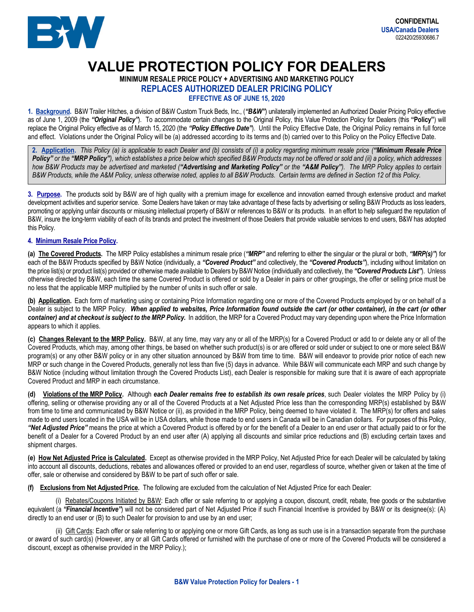

## **VALUE PROTECTION POLICY FOR DEALERS**

**MINIMUM RESALE PRICE POLICY + ADVERTISING AND MARKETING POLICY**

**REPLACES AUTHORIZED DEALER PRICING POLICY**

**EFFECTIVE AS OF JUNE 15, 2020**

**1. Background.** B&W Trailer Hitches, a division of B&W Custom Truck Beds, Inc., (*"B&W"*) unilaterally implemented an Authorized Dealer Pricing Policy effective as of June 1, 2009 (the *"Original Policy"*). To accommodate certain changes to the Original Policy, this Value Protection Policy for Dealers (this **"Policy"**) will replace the Original Policy effective as of March 15, 2020 (the *"Policy Effective Date"*). Until the Policy Effective Date, the Original Policy remains in full force and effect. Violations under the Original Policy will be (a) addressed according to its terms and (b) carried over to this Policy on the Policy Effective Date.

**2. Application.** *This Policy (a) is applicable to each Dealer and (b) consists of (i) a policy regarding minimum resale price ("Minimum Resale Price Policy" or the "MRP Policy"), which establishes a price below which specified B&W Products may not be offered or sold and (ii) a policy, which addresses*  how B&W Products may be advertised and marketed ("Advertising and Marketing Policy" or the "A&M Policy"). The MRP Policy applies to certain *B&W Products, while the A&M Policy, unless otherwise noted, applies to all B&W Products. Certain terms are defined in Section 12 of this Policy.*

**3. Purpose.** The products sold by B&W are of high quality with a premium image for excellence and innovation earned through extensive product and market development activities and superior service. Some Dealers have taken or may take advantage of these facts by advertising or selling B&W Products as loss leaders, promoting or applying unfair discounts or misusing intellectual property of B&W or references to B&W or its products. In an effort to help safeguard the reputation of B&W, insure the long-term viability of each of its brands and protect the investment of those Dealers that provide valuable services to end users, B&W has adopted this Policy.

## **4. Minimum Resale Price Policy.**

**(a) The Covered Products.** The MRP Policy establishes a minimum resale price (*"MRP"* and referring to either the singular or the plural or both, *"MRP(s)"*) for each of the B&W Products specified by B&W Notice (individually, a *"Covered Product"* and collectively, the *"Covered Products"*), including without limitation on the price list(s) or product list(s) provided or otherwise made available to Dealers by B&W Notice (individually and collectively, the *"Covered Products List"*). Unless otherwise directed by B&W, each time the same Covered Product is offered or sold by a Dealer in pairs or other groupings, the offer or selling price must be no less that the applicable MRP multiplied by the number of units in such offer or sale.

**(b) Application.** Each form of marketing using or containing Price Information regarding one or more of the Covered Products employed by or on behalf of a Dealer is subject to the MRP Policy. When applied to websites, Price Information found outside the cart (or other container), in the cart (or other *container) and at checkout is subject to the MRP Policy.*In addition, the MRP for a Covered Product may vary depending upon where the Price Information appears to which it applies.

**(c) Changes Relevant to the MRP Policy.** B&W, at any time, may vary any or all of the MRP(s) for a Covered Product or add to or delete any or all of the Covered Products, which may, among other things, be based on whether such product(s) is or are offered or sold under or subject to one or more select B&W program(s) or any other B&W policy or in any other situation announced by B&W from time to time. B&W will endeavor to provide prior notice of each new MRP or such change in the Covered Products, generally not less than five (5) days in advance. While B&W will communicate each MRP and such change by B&W Notice (including without limitation through the Covered Products List), each Dealer is responsible for making sure that it is aware of each appropriate Covered Product and MRP in each circumstance.

**(d) Violations of the MRP Policy.** Although *each Dealer remains free to establish its own resale prices*, such Dealer violates the MRP Policy by (i) offering, selling or otherwise providing any or all of the Covered Products at a Net Adjusted Price less than the corresponding MRP(s) established by B&W from time to time and communicated by B&W Notice or (ii), as provided in the MRP Policy, being deemed to have violated it. The MRP(s) for offers and sales made to end users located in the USA will be in USA dollars, while those made to end users in Canada will be in Canadian dollars. For purposes of this Policy, *"Net Adjusted Price"* means the price at which a Covered Product is offered by or for the benefit of a Dealer to an end user or that actually paid to or for the benefit of a Dealer for a Covered Product by an end user after (A) applying all discounts and similar price reductions and (B) excluding certain taxes and shipment charges.

**(e) How Net Adjusted Price is Calculated.** Except as otherwise provided in the MRP Policy, Net Adjusted Price for each Dealer will be calculated by taking into account all discounts, deductions, rebates and allowances offered or provided to an end user, regardless of source, whether given or taken at the time of offer, sale or otherwise and considered by B&W to be part of such offer or sale.

**(f) Exclusions from Net AdjustedPrice.** The following are excluded from the calculation of Net Adjusted Price for each Dealer:

(i) Rebates/Coupons Initiated by B&W: Each offer or sale referring to or applying a coupon, discount, credit, rebate, free goods or the substantive equivalent (a "Financial Incentive") will not be considered part of Net Adjusted Price if such Financial Incentive is provided by B&W or its designee(s): (A) directly to an end user or (B) to such Dealer for provision to and use by an end user;

(ii) Gift Cards: Each offer or sale referring to or applying one or more Gift Cards, as long as such use is in a transaction separate from the purchase or award of such card(s) (However, any or all Gift Cards offered or furnished with the purchase of one or more of the Covered Products will be considered a discount, except as otherwise provided in the MRP Policy.);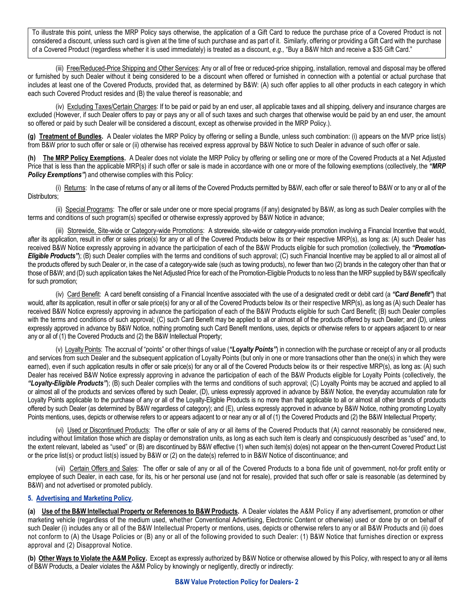To illustrate this point, unless the MRP Policy says otherwise, the application of a Gift Card to reduce the purchase price of a Covered Product is not considered a discount, unless such card is given at the time of such purchase and as part of it. Similarly, offering or providing a Gift Card with the purchase of a Covered Product (regardless whether it is used immediately) is treated as a discount, *e.g.,* "Buy a B&W hitch and receive a \$35 Gift Card."

(iii) Free/Reduced-Price Shipping and Other Services: Any or all of free or reduced-price shipping, installation, removal and disposal may be offered or furnished by such Dealer without it being considered to be a discount when offered or furnished in connection with a potential or actual purchase that includes at least one of the Covered Products, provided that, as determined by B&W: (A) such offer applies to all other products in each category in which each such Covered Product resides and (B) the value thereof is reasonable; and

(iv) Excluding Taxes/Certain Charges: If to be paid or paid by an end user, all applicable taxes and all shipping, delivery and insurance charges are excluded (However, if such Dealer offers to pay or pays any or all of such taxes and such charges that otherwise would be paid by an end user, the amount so offered or paid by such Dealer will be considered a discount, except as otherwise provided in the MRP Policy.).

**(g) Treatment of Bundles.** A Dealer violates the MRP Policy by offering or selling a Bundle, unless such combination: (i) appears on the MVP price list(s) from B&W prior to such offer or sale or (ii) otherwise has received express approval by B&W Notice to such Dealer in advance of such offer or sale.

**(h) The MRP Policy Exemptions.** A Dealer does not violate the MRP Policy by offering or selling one or more of the Covered Products at a Net Adjusted Price that is less than the applicable MRP(s) if such offer or sale is made in accordance with one or more of the following exemptions (collectively, the *"MRP* **Policy Exemptions"**) and otherwise complies with this Policy:

(i) Returns: In the case of returns of any or all items of the Covered Products permitted by B&W, each offer or sale thereof to B&W or to any or all of the Distributors:

(ii) Special Programs: The offer or sale under one or more special programs (if any) designated by B&W, as long as such Dealer complies with the terms and conditions of such program(s) specified or otherwise expressly approved by B&W Notice in advance;

(iii) Storewide, Site-wide or Category-wide Promotions: A storewide, site-wide or category-wide promotion involving a Financial Incentive that would, after its application, result in offer or sales price(s) for any or all of the Covered Products below its or their respective MRP(s), as long as: (A) such Dealer has received B&W Notice expressly approving in advance the participation of each of the B&W Products eligible for such promotion (collectively, the *"Promotion-Eligible Products"*); (B) such Dealer complies with the terms and conditions of such approval; (C) such Financial Incentive may be applied to all or almost all of the products offered by such Dealer or, in the case of a category-wide sale (such as towing products), no fewer than two (2) brands in the category other than that or those of B&W; and (D) such application takes the Net Adjusted Price for each of the Promotion-Eligible Products to no less than the MRP supplied by B&W specifically for such promotion;

(iv) Card Benefit: A card benefit consisting of a Financial Incentive associated with the use of a designated credit or debit card (a *"Card Benefit"*) that would, after its application, result in offer or sale price(s) for any or all of the Covered Products below its or their respective MRP(s), as long as (A) such Dealer has received B&W Notice expressly approving in advance the participation of each of the B&W Products eligible for such Card Benefit; (B) such Dealer complies with the terms and conditions of such approval; (C) such Card Benefit may be applied to all or almost all of the products offered by such Dealer; and (D), unless expressly approved in advance by B&W Notice, nothing promoting such Card Benefit mentions, uses, depicts or otherwise refers to or appears adjacent to or near any or all of (1) the Covered Products and (2) the B&W Intellectual Property;

(v) Loyalty Points: The accrual of "points" or other things of value (*"Loyalty Points"*) in connection with the purchase or receipt of any or all products and services from such Dealer and the subsequent application of Loyalty Points (but only in one or more transactions other than the one(s) in which they were earned), even if such application results in offer or sale price(s) for any or all of the Covered Products below its or their respective MRP(s), as long as: (A) such Dealer has received B&W Notice expressly approving in advance the participation of each of the B&W Products eligible for Loyalty Points (collectively, the *"Loyalty-Eligible Products"*); (B) such Dealer complies with the terms and conditions of such approval; (C) Loyalty Points may be accrued and applied to all or almost all of the products and services offered by such Dealer, (D), unless expressly approved in advance by B&W Notice, the everyday accumulation rate for Loyalty Points applicable to the purchase of any or all of the Loyalty-Eligible Products is no more than that applicable to all or almost all other brands of products offered by such Dealer (as determined by B&W regardless of category); and (E), unless expressly approved in advance by B&W Notice, nothing promoting Loyalty Points mentions, uses, depicts or otherwise refers to or appears adjacent to or near any or all of (1) the Covered Products and (2) the B&W Intellectual Property;

(vi) Used or Discontinued Products: The offer or sale of any or all items of the Covered Products that (A) cannot reasonably be considered new, including without limitation those which are display or demonstration units, as long as each such item is clearly and conspicuously described as "used" and, to the extent relevant, labeled as "used" or (B) are discontinued by B&W effective (1) when such item(s) do(es) not appear on the then-current Covered Product List or the price list(s) or product list(s) issued by B&W or (2) on the date(s) referred to in B&W Notice of discontinuance; and

(vii) Certain Offers and Sales: The offer or sale of any or all of the Covered Products to a bona fide unit of government, not-for profit entity or employee of such Dealer, in each case, for its, his or her personal use (and not for resale), provided that such offer or sale is reasonable (as determined by B&W) and not advertised or promoted publicly.

## **5. Advertising and Marketing Policy.**

**(a) Use of the B&W Intellectual Property or References to B&W Products.** A Dealer violates the A&M Policy if any advertisement, promotion or other marketing vehicle (regardless of the medium used, whether Conventional Advertising, Electronic Content or otherwise) used or done by or on behalf of such Dealer (i) includes any or all of the B&W Intellectual Property or mentions, uses, depicts or otherwise refers to any or all B&W Products and (ii) does not conform to (A) the Usage Policies or (B) any or all of the following provided to such Dealer: (1) B&W Notice that furnishes direction or express approval and (2) Disapproval Notice.

**(b) Other Ways to Violate the A&M Policy.** Except as expressly authorized by B&W Notice or otherwise allowed by this Policy, with respect to any or all items of B&W Products, a Dealer violates the A&M Policy by knowingly or negligently, directly or indirectly: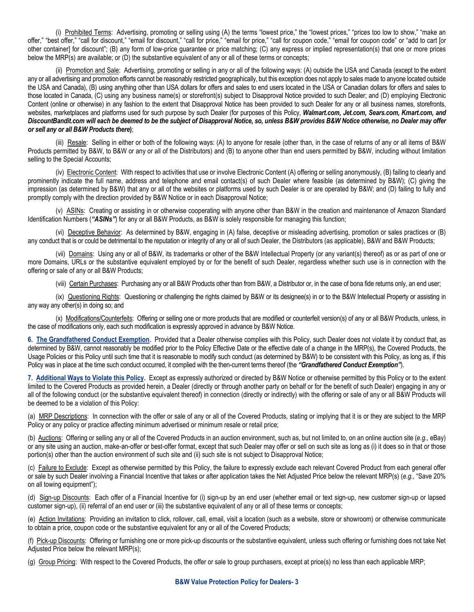(i) Prohibited Terms: Advertising, promoting or selling using (A) the terms "lowest price," the "lowest prices," "prices too low to show," "make an offer," "best offer," "call for discount," "email for discount," "call for price," "email for price," "call for coupon code," "email for coupon code" or "add to cart [or other container] for discount"; (B) any form of low-price guarantee or price matching; (C) any express or implied representation(s) that one or more prices below the MRP(s) are available; or (D) the substantive equivalent of any or all of these terms or concepts;

(ii) Promotion and Sale: Advertising, promoting or selling in any or all of the following ways: (A) outside the USA and Canada (except to the extent any or all advertising and promotion efforts cannot be reasonably restricted geographically, but this exception does not apply to sales made to anyone located outside the USA and Canada), (B) using anything other than USA dollars for offers and sales to end users located in the USA or Canadian dollars for offers and sales to those located in Canada, (C) using any business name(s) or storefront(s) subject to Disapproval Notice provided to such Dealer; and (D) employing Electronic Content (online or otherwise) in any fashion to the extent that Disapproval Notice has been provided to such Dealer for any or all business names, storefronts, websites, marketplaces and platforms used for such purpose by such Dealer (for purposes of this Policy, *Walmart.com, Jet.com, Sears.com, Kmart.com, and DiscountBandit.com will each be deemed to be the subject of Disapproval Notice, so, unless B&W provides B&W Notice otherwise, no Dealer may offer or sell any or all B&W Products there***)**;

(iii) Resale: Selling in either or both of the following ways: (A) to anyone for resale (other than, in the case of returns of any or all items of B&W Products permitted by B&W, to B&W or any or all of the Distributors) and (B) to anyone other than end users permitted by B&W, including without limitation selling to the Special Accounts:

(iv) Electronic Content: With respect to activities that use or involve Electronic Content (A) offering or selling anonymously, (B) failing to clearly and prominently indicate the full name, address and telephone and email contact(s) of such Dealer where feasible (as determined by B&W); (C) giving the impression (as determined by B&W) that any or all of the websites or platforms used by such Dealer is or are operated by B&W; and (D) failing to fully and promptly comply with the direction provided by B&W Notice or in each Disapproval Notice;

(v) ASINs: Creating or assisting in or otherwise cooperating with anyone other than B&W in the creation and maintenance of Amazon Standard Identification Numbers ("ASINs") for any or all B&W Products, as B&W is solely responsible for managing this function;

(vi) Deceptive Behavior: As determined by B&W, engaging in (A) false, deceptive or misleading advertising, promotion or sales practices or (B) any conduct that is or could be detrimental to the reputation or integrity of any or all of such Dealer, the Distributors (as applicable), B&W and B&W Products;

(vii) Domains: Using any or all of B&W, its trademarks or other of the B&W Intellectual Property (or any variant(s) thereof) as or as part of one or more Domains, URLs or the substantive equivalent employed by or for the benefit of such Dealer, regardless whether such use is in connection with the offering or sale of any or all B&W Products;

(viii) Certain Purchases: Purchasing any or all B&W Products other than from B&W, a Distributor or, in the case of bona fide returns only, an end user;

(ix) Questioning Rights: Questioning or challenging the rights claimed by B&W or its designee(s) in or to the B&W Intellectual Property or assisting in any way any other(s) in doing so; and

(x) Modifications/Counterfeits: Offering or selling one or more products that are modified or counterfeit version(s) of any or all B&W Products, unless, in the case of modifications only, each such modification is expressly approved in advance by B&W Notice.

**6. The Grandfathered Conduct Exemption.** Provided that a Dealer otherwise complies with this Policy, such Dealer does not violate it by conduct that, as determined by B&W, cannot reasonably be modified prior to the Policy Effective Date or the effective date of a change in the MRP(s), the Covered Products, the Usage Policies or this Policy until such time that it is reasonable to modify such conduct (as determined by B&W) to be consistent with this Policy, as long as, if this Policy was in place at the time such conduct occurred, it complied with the then-current terms thereof (the "Grandfathered Conduct Exemption").

**7. Additional Ways to Violate this Policy.** Except as expressly authorized or directed by B&W Notice or otherwise permitted by this Policy or to the extent limited to the Covered Products as provided herein, a Dealer (directly or through another party on behalf or for the benefit of such Dealer) engaging in any or all of the following conduct (or the substantive equivalent thereof) in connection (directly or indirectly) with the offering or sale of any or all B&W Products will be deemed to be a violation of this Policy:

(a) MRP Descriptions: In connection with the offer or sale of any or all of the Covered Products, stating or implying that it is or they are subject to the MRP Policy or any policy or practice affecting minimum advertised or minimum resale or retail price;

(b) Auctions: Offering or selling any or all of the Covered Products in an auction environment, such as, but not limited to, on an online auction site (*e.g.,* eBay) or any site using an auction, make-an-offer or best-offer format, except that such Dealer may offer or sell on such site as long as (i) it does so in that or those portion(s) other than the auction environment of such site and (ii) such site is not subject to Disapproval Notice;

(c) Failure to Exclude: Except as otherwise permitted by this Policy, the failure to expressly exclude each relevant Covered Product from each general offer or sale by such Dealer involving a Financial Incentive that takes or after application takes the Net Adjusted Price below the relevant MRP(s) (*e.g.,* "Save 20% on all towing equipment");

(d) Sign-up Discounts: Each offer of a Financial Incentive for (i) sign-up by an end user (whether email or text sign-up, new customer sign-up or lapsed customer sign-up), (ii) referral of an end user or (iii) the substantive equivalent of any or all of these terms or concepts;

(e) Action Invitations: Providing an invitation to click, rollover, call, email, visit a location (such as a website, store or showroom) or otherwise communicate to obtain a price, coupon code or the substantive equivalent for any or all of the Covered Products;

(f) Pick-up Discounts: Offering or furnishing one or more pick-up discounts or the substantive equivalent, unless such offering or furnishing does not take Net Adjusted Price below the relevant MRP(s);

(g) Group Pricing: With respect to the Covered Products, the offer or sale to group purchasers, except at price(s) no less than each applicable MRP;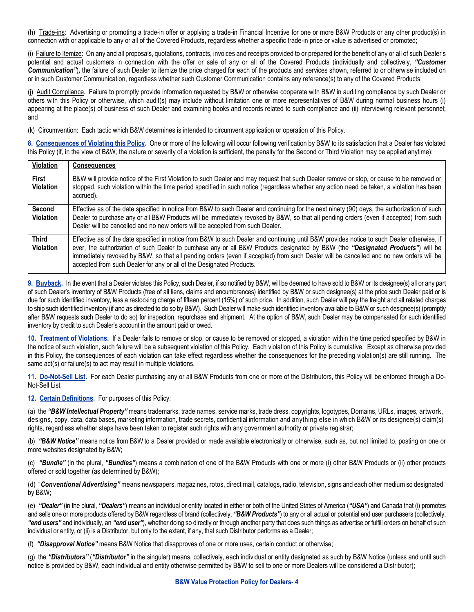(h) Trade-ins: Advertising or promoting a trade-in offer or applying a trade-in Financial Incentive for one or more B&W Products or any other product(s) in connection with or applicable to any or all of the Covered Products, regardless whether a specific trade-in price or value is advertised or promoted;

(i) Failure to Itemize: On any and all proposals, quotations, contracts, invoices and receipts provided to or prepared for the benefit of any or all of such Dealer's potential and actual customers in connection with the offer or sale of any or all of the Covered Products (individually and collectively, *"Customer*  **Communication**<sup>n</sup>, the failure of such Dealer to itemize the price charged for each of the products and services shown, referred to or otherwise included on or in such Customer Communication, regardless whether such Customer Communication contains any reference(s) to any of the Covered Products;

(j) Audit Compliance. Failure to promptly provide information requested by B&W or otherwise cooperate with B&W in auditing compliance by such Dealer or others with this Policy or otherwise, which audit(s) may include without limitation one or more representatives of B&W during normal business hours (i) appearing at the place(s) of business of such Dealer and examining books and records related to such compliance and (ii) interviewing relevant personnel; and

(k) Circumvention: Each tactic which B&W determines is intended to circumvent application or operation of this Policy.

**8. Consequences of Violating this Policy.** One or more of the following will occur following verification by B&W to its satisfaction that a Dealer has violated this Policy (if, in the view of B&W, the nature or severity of a violation is sufficient, the penalty for the Second or Third Violation may be applied anytime):

| Violation                        | <b>Consequences</b>                                                                                                                                                                                                                                                                                                                                                                                                                                                                              |
|----------------------------------|--------------------------------------------------------------------------------------------------------------------------------------------------------------------------------------------------------------------------------------------------------------------------------------------------------------------------------------------------------------------------------------------------------------------------------------------------------------------------------------------------|
| <b>First</b><br><b>Violation</b> | B&W will provide notice of the First Violation to such Dealer and may request that such Dealer remove or stop, or cause to be removed or<br>stopped, such violation within the time period specified in such notice (regardless whether any action need be taken, a violation has been<br>accrued).                                                                                                                                                                                              |
| Second<br><b>Violation</b>       | Effective as of the date specified in notice from B&W to such Dealer and continuing for the next ninety (90) days, the authorization of such<br>Dealer to purchase any or all B&W Products will be immediately revoked by B&W, so that all pending orders (even if accepted) from such<br>Dealer will be cancelled and no new orders will be accepted from such Dealer.                                                                                                                          |
| <b>Third</b><br><b>Violation</b> | Effective as of the date specified in notice from B&W to such Dealer and continuing until B&W provides notice to such Dealer otherwise, if<br>ever, the authorization of such Dealer to purchase any or all B&W Products designated by B&W (the "Designated Products") will be<br>immediately revoked by B&W, so that all pending orders (even if accepted) from such Dealer will be cancelled and no new orders will be<br>accepted from such Dealer for any or all of the Designated Products. |

**9. Buyback.** In the event that a Dealer violates this Policy, such Dealer, if so notified by B&W, will be deemed to have sold to B&W or its designee(s) all or any part of such Dealer's inventory of B&W Products (free of all liens, claims and encumbrances) identified by B&W or such designee(s) at the price such Dealer paid or is due for such identified inventory, less a restocking charge of fifteen percent (15%) of such price. In addition, such Dealer will pay the freight and all related charges to ship such identified inventory (if and as directed to do so by B&W). Such Dealer will make such identified inventory available to B&W or such designee(s) (promptly after B&W requests such Dealer to do so) for inspection, repurchase and shipment. At the option of B&W, such Dealer may be compensated for such identified inventory by credit to such Dealer's account in the amount paid or owed.

**10. Treatment of Violations.** If a Dealer fails to remove or stop, or cause to be removed or stopped, a violation within the time period specified by B&W in the notice of such violation, such failure will be a subsequent violation of this Policy. Each violation of this Policy is cumulative. Except as otherwise provided in this Policy, the consequences of each violation can take effect regardless whether the consequences for the preceding violation(s) are still running. The same  $act(s)$  or failure(s) to act may result in multiple violations.

**11. Do-Not-Sell List.** For each Dealer purchasing any or all B&W Products from one or more of the Distributors, this Policy will be enforced through a Do-Not-Sell List.

**12. Certain Definitions.** For purposes of this Policy:

(a) the *"B&W Intellectual Property"* means trademarks, trade names, service marks, trade dress, copyrights, logotypes, Domains, URLs, images, artwork, designs, copy, data, data bases, marketing information, trade secrets, confidential information and anything else in which B&W or its designee(s) claim(s) rights, regardless whether steps have been taken to register such rights with any government authority or private registrar;

(b) *"B&W Notice"* means notice from B&W to a Dealer provided or made available electronically or otherwise, such as, but not limited to, posting on one or more websites designated by B&W;

(c) *"Bundle"* (in the plural, *"Bundles"*) means a combination of one of the B&W Products with one or more (i) other B&W Products or (ii) other products offered or sold together (as determined by B&W);

(d) "*Conventional Advertising"* means newspapers, magazines, rotos, direct mail, catalogs, radio, television, signs and each other medium so designated by B&W;

(e) *"Dealer"* (in the plural, *"Dealers"*) means an individual or entity located in either or both of the United States of America (*"USA"*) and Canada that (i) promotes and sells one or more products offered by B&W regardless of brand (collectively, *"B&W Products"*) to any or all actual or potential end user purchasers (collectively, *"end users"* and individually, an *"end user"*), whether doing so directly or through another party that does such things as advertise or fulfill orders on behalf of such individual or entity, or (ii) is a Distributor, but only to the extent, if any, that such Distributor performs as a Dealer;

(f) *"Disapproval Notice"* means B&W Notice that disapproves of one or more uses, certain conduct or otherwise;

(g) the *"Distributors"* (*"Distributor"* in the singular) means, collectively, each individual or entity designated as such by B&W Notice (unless and until such notice is provided by B&W, each individual and entity otherwise permitted by B&W to sell to one or more Dealers will be considered a Distributor);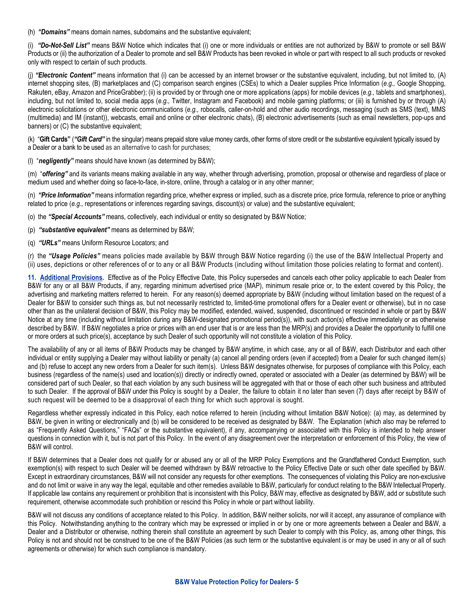(h) *"Domains"* means domain names, subdomains and the substantive equivalent;

(i) *"Do-Not-Sell List"* means B&W Notice which indicates that (i) one or more individuals or entities are not authorized by B&W to promote or sell B&W Products or (ii) the authorization of a Dealer to promote and sell B&W Products has been revoked in whole or part with respect to all such products or revoked only with respect to certain of such products.

(j) *"Electronic Content"* means information that (i) can be accessed by an internet browser or the substantive equivalent, including, but not limited to, (A) internet shopping sites, (B) marketplaces and (C) comparison search engines (CSEs) to which a Dealer supplies Price Information (*e.g.,* Google Shopping, Rakuten, eBay, Amazon and PriceGrabber); (ii) is provided by or through one or more applications (apps) for mobile devices (*e.g.,* tablets and smartphones), including, but not limited to, social media apps (*e.g.,* Twitter, Instagram and Facebook) and mobile gaming platforms; or (iii) is furnished by or through (A) electronic solicitations or other electronic communications (*e.g.,* robocalls*,* caller-on-hold and other audio recordings, messaging (such as SMS (text), MMS (multimedia) and IM (instant)), webcasts, email and online or other electronic chats), (B) electronic advertisements (such as email newsletters, pop-ups and banners) or (C) the substantive equivalent;

(k) "**Gift Cards"** (*"Gift Card"* in the singular) means prepaid store value money cards, other forms of store credit or the substantive equivalent typically issued by a Dealer or a bank to be used as an alternative to cash for purchases;

(l) "*negligently"* means should have known (as determined by B&W);

(m) "offering" and its variants means making available in any way, whether through advertising, promotion, proposal or otherwise and regardless of place or medium used and whether doing so face-to-face, in-store, online, through a catalog or in any other manner;

(n) *"Price Information"* means information regarding price, whether express or implied, such as a discrete price, price formula, reference to price or anything related to price (*e.g.,* representations or inferences regarding savings, discount(s) or value) and the substantive equivalent;

(o) the *"Special Accounts"* means, collectively, each individual or entity so designated by B&W Notice;

(p) *"substantive equivalent"* means as determined by B&W;

(q) *"URLs"* means Uniform Resource Locators; and

(r) the *"Usage Policies"* means policies made available by B&W through B&W Notice regarding (i) the use of the B&W Intellectual Property and (ii) uses, depictions or other references of or to any or all B&W Products (including without limitation those policies relating to format and content).

**11. Additional Provisions.** Effective as of the Policy Effective Date, this Policy supersedes and cancels each other policy applicable to each Dealer from B&W for any or all B&W Products, if any, regarding minimum advertised price (MAP), minimum resale price or, to the extent covered by this Policy, the advertising and marketing matters referred to herein. For any reason(s) deemed appropriate by B&W (including without limitation based on the request of a Dealer for B&W to consider such things as, but not necessarily restricted to, limited-time promotional offers for a Dealer event or otherwise), but in no case other than as the unilateral decision of B&W, this Policy may be modified, extended, waived, suspended, discontinued or rescinded in whole or part by B&W Notice at any time (including without limitation during any B&W-designated promotional period(s)), with such action(s) effective immediately or as otherwise described by B&W. If B&W negotiates a price or prices with an end user that is or are less than the MRP(s) and provides a Dealer the opportunity to fulfill one or more orders at such price(s), acceptance by such Dealer of such opportunity will not constitute a violation of this Policy.

The availability of any or all items of B&W Products may be changed by B&W anytime, in which case, any or all of B&W, each Distributor and each other individual or entity supplying a Dealer may without liability or penalty (a) cancel all pending orders (even if accepted) from a Dealer for such changed item(s) and (b) refuse to accept any new orders from a Dealer for such item(s). Unless B&W designates otherwise, for purposes of compliance with this Policy, each business (regardless of the name(s) used and location(s)) directly or indirectly owned, operated or associated with a Dealer (as determined by B&W) will be considered part of such Dealer, so that each violation by any such business will be aggregated with that or those of each other such business and attributed to such Dealer. If the approval of B&W under this Policy is sought by a Dealer, the failure to obtain it no later than seven (7) days after receipt by B&W of such request will be deemed to be a disapproval of each thing for which such approval is sought.

Regardless whether expressly indicated in this Policy, each notice referred to herein (including without limitation B&W Notice): (a) may, as determined by B&W, be given in writing or electronically and (b) will be considered to be received as designated by B&W. The Explanation (which also may be referred to as "Frequently Asked Questions," "FAQs" or the substantive equivalent), if any, accompanying or associated with this Policy is intended to help answer questions in connection with it, but is not part of this Policy. In the event of any disagreement over the interpretation or enforcement of this Policy, the view of B&W will control.

If B&W determines that a Dealer does not qualify for or abused any or all of the MRP Policy Exemptions and the Grandfathered Conduct Exemption, such exemption(s) with respect to such Dealer will be deemed withdrawn by B&W retroactive to the Policy Effective Date or such other date specified by B&W. Except in extraordinary circumstances, B&W will not consider any requests for other exemptions. The consequences of violating this Policy are non-exclusive and do not limit or waive in any way the legal, equitable and other remedies available to B&W, particularly for conduct relating to the B&W Intellectual Property. If applicable law contains any requirement or prohibition that is inconsistent with this Policy, B&W may, effective as designated by B&W, add or substitute such requirement, otherwise accommodate such prohibition or rescind this Policy in whole or part without liability.

B&W will not discuss any conditions of acceptance related to this Policy. In addition, B&W neither solicits, nor will it accept, any assurance of compliance with this Policy. Notwithstanding anything to the contrary which may be expressed or implied in or by one or more agreements between a Dealer and B&W, a Dealer and a Distributor or otherwise, nothing therein shall constitute an agreement by such Dealer to comply with this Policy, as, among other things, this Policy is not and should not be construed to be one of the B&W Policies (as such term or the substantive equivalent is or may be used in any or all of such agreements or otherwise) for which such compliance is mandatory.